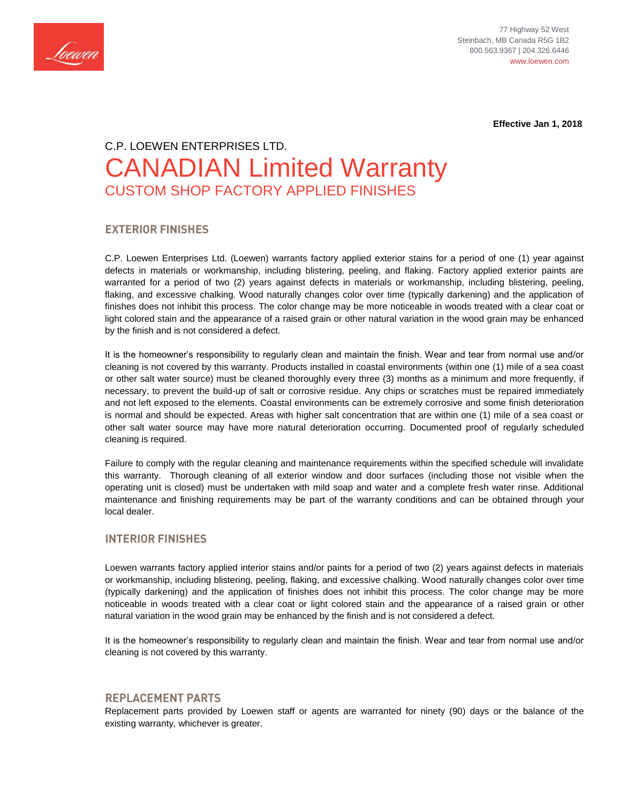

77 Highway 52 West Steinbach, MB Canada R5G 1B2 800.563.9367 | 204.326.6446 www.loewen.com

 **Effective Jan 1, 2018**

# C.P. LOEWEN ENTERPRISES LTD. CANADIAN Limited Warranty CUSTOM SHOP FACTORY APPLIED FINISHES

# **EXTERIOR FINISHES**

C.P. Loewen Enterprises Ltd. (Loewen) warrants factory applied exterior stains for a period of one (1) year against defects in materials or workmanship, including blistering, peeling, and flaking. Factory applied exterior paints are warranted for a period of two (2) years against defects in materials or workmanship, including blistering, peeling, flaking, and excessive chalking. Wood naturally changes color over time (typically darkening) and the application of finishes does not inhibit this process. The color change may be more noticeable in woods treated with a clear coat or light colored stain and the appearance of a raised grain or other natural variation in the wood grain may be enhanced by the finish and is not considered a defect.

It is the homeowner's responsibility to regularly clean and maintain the finish. Wear and tear from normal use and/or cleaning is not covered by this warranty. Products installed in coastal environments (within one (1) mile of a sea coast or other salt water source) must be cleaned thoroughly every three (3) months as a minimum and more frequently, if necessary, to prevent the build-up of salt or corrosive residue. Any chips or scratches must be repaired immediately and not left exposed to the elements. Coastal environments can be extremely corrosive and some finish deterioration is normal and should be expected. Areas with higher salt concentration that are within one (1) mile of a sea coast or other salt water source may have more natural deterioration occurring. Documented proof of regularly scheduled cleaning is required.

Failure to comply with the regular cleaning and maintenance requirements within the specified schedule will invalidate this warranty. Thorough cleaning of all exterior window and door surfaces (including those not visible when the operating unit is closed) must be undertaken with mild soap and water and a complete fresh water rinse. Additional maintenance and finishing requirements may be part of the warranty conditions and can be obtained through your local dealer.

## **INTERIOR FINISHES**

Loewen warrants factory applied interior stains and/or paints for a period of two (2) years against defects in materials or workmanship, including blistering, peeling, flaking, and excessive chalking. Wood naturally changes color over time (typically darkening) and the application of finishes does not inhibit this process. The color change may be more noticeable in woods treated with a clear coat or light colored stain and the appearance of a raised grain or other natural variation in the wood grain may be enhanced by the finish and is not considered a defect.

It is the homeowner's responsibility to regularly clean and maintain the finish. Wear and tear from normal use and/or cleaning is not covered by this warranty.

## **REPLACEMENT PARTS**

Replacement parts provided by Loewen staff or agents are warranted for ninety (90) days or the balance of the existing warranty, whichever is greater.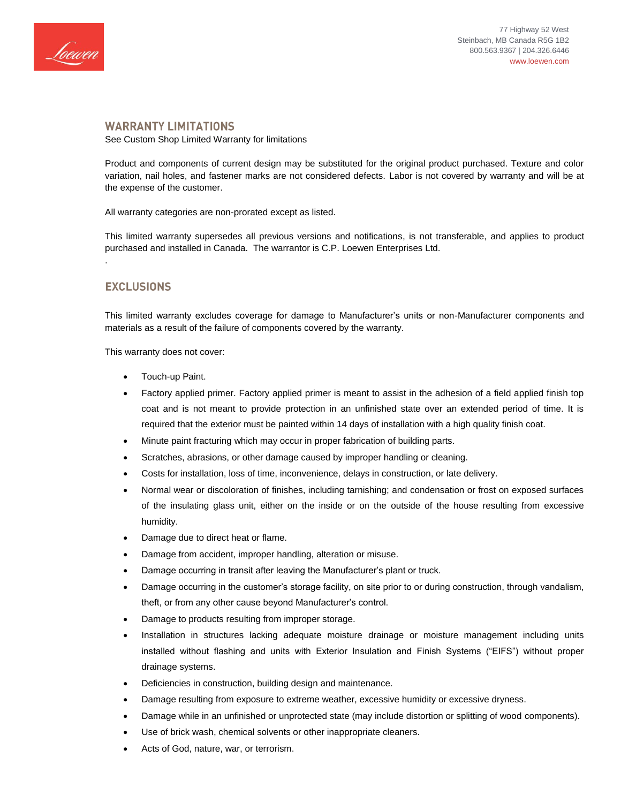

#### **WARRANTY LIMITATIONS**

See Custom Shop Limited Warranty for limitations

Product and components of current design may be substituted for the original product purchased. Texture and color variation, nail holes, and fastener marks are not considered defects. Labor is not covered by warranty and will be at the expense of the customer.

All warranty categories are non-prorated except as listed.

This limited warranty supersedes all previous versions and notifications, is not transferable, and applies to product purchased and installed in Canada. The warrantor is C.P. Loewen Enterprises Ltd.

# **EXCLUSIONS**

.

This limited warranty excludes coverage for damage to Manufacturer's units or non-Manufacturer components and materials as a result of the failure of components covered by the warranty.

This warranty does not cover:

- Touch-up Paint.
- Factory applied primer. Factory applied primer is meant to assist in the adhesion of a field applied finish top coat and is not meant to provide protection in an unfinished state over an extended period of time. It is required that the exterior must be painted within 14 days of installation with a high quality finish coat.
- Minute paint fracturing which may occur in proper fabrication of building parts.
- Scratches, abrasions, or other damage caused by improper handling or cleaning.
- Costs for installation, loss of time, inconvenience, delays in construction, or late delivery.
- Normal wear or discoloration of finishes, including tarnishing; and condensation or frost on exposed surfaces of the insulating glass unit, either on the inside or on the outside of the house resulting from excessive humidity.
- Damage due to direct heat or flame.
- Damage from accident, improper handling, alteration or misuse.
- Damage occurring in transit after leaving the Manufacturer's plant or truck.
- Damage occurring in the customer's storage facility, on site prior to or during construction, through vandalism, theft, or from any other cause beyond Manufacturer's control.
- Damage to products resulting from improper storage.
- Installation in structures lacking adequate moisture drainage or moisture management including units installed without flashing and units with Exterior Insulation and Finish Systems ("EIFS") without proper drainage systems.
- Deficiencies in construction, building design and maintenance.
- Damage resulting from exposure to extreme weather, excessive humidity or excessive dryness.
- Damage while in an unfinished or unprotected state (may include distortion or splitting of wood components).
- Use of brick wash, chemical solvents or other inappropriate cleaners.
- Acts of God, nature, war, or terrorism.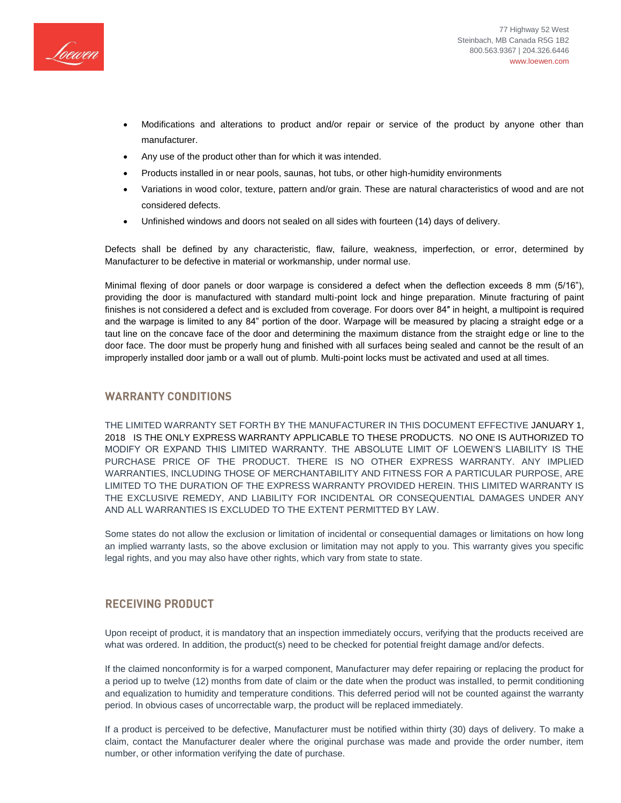

- Modifications and alterations to product and/or repair or service of the product by anyone other than manufacturer.
- Any use of the product other than for which it was intended.
- Products installed in or near pools, saunas, hot tubs, or other high-humidity environments
- Variations in wood color, texture, pattern and/or grain. These are natural characteristics of wood and are not considered defects.
- Unfinished windows and doors not sealed on all sides with fourteen (14) days of delivery.

Defects shall be defined by any characteristic, flaw, failure, weakness, imperfection, or error, determined by Manufacturer to be defective in material or workmanship, under normal use.

Minimal flexing of door panels or door warpage is considered a defect when the deflection exceeds 8 mm (5/16"), providing the door is manufactured with standard multi-point lock and hinge preparation. Minute fracturing of paint finishes is not considered a defect and is excluded from coverage. For doors over 84″ in height, a multipoint is required and the warpage is limited to any 84" portion of the door. Warpage will be measured by placing a straight edge or a taut line on the concave face of the door and determining the maximum distance from the straight edge or line to the door face. The door must be properly hung and finished with all surfaces being sealed and cannot be the result of an improperly installed door jamb or a wall out of plumb. Multi-point locks must be activated and used at all times.

### **WARRANTY CONDITIONS**

THE LIMITED WARRANTY SET FORTH BY THE MANUFACTURER IN THIS DOCUMENT EFFECTIVE JANUARY 1, 2018 IS THE ONLY EXPRESS WARRANTY APPLICABLE TO THESE PRODUCTS. NO ONE IS AUTHORIZED TO MODIFY OR EXPAND THIS LIMITED WARRANTY. THE ABSOLUTE LIMIT OF LOEWEN'S LIABILITY IS THE PURCHASE PRICE OF THE PRODUCT. THERE IS NO OTHER EXPRESS WARRANTY. ANY IMPLIED WARRANTIES, INCLUDING THOSE OF MERCHANTABILITY AND FITNESS FOR A PARTICULAR PURPOSE, ARE LIMITED TO THE DURATION OF THE EXPRESS WARRANTY PROVIDED HEREIN. THIS LIMITED WARRANTY IS THE EXCLUSIVE REMEDY, AND LIABILITY FOR INCIDENTAL OR CONSEQUENTIAL DAMAGES UNDER ANY AND ALL WARRANTIES IS EXCLUDED TO THE EXTENT PERMITTED BY LAW.

Some states do not allow the exclusion or limitation of incidental or consequential damages or limitations on how long an implied warranty lasts, so the above exclusion or limitation may not apply to you. This warranty gives you specific legal rights, and you may also have other rights, which vary from state to state.

## **RECEIVING PRODUCT**

Upon receipt of product, it is mandatory that an inspection immediately occurs, verifying that the products received are what was ordered. In addition, the product(s) need to be checked for potential freight damage and/or defects.

If the claimed nonconformity is for a warped component, Manufacturer may defer repairing or replacing the product for a period up to twelve (12) months from date of claim or the date when the product was installed, to permit conditioning and equalization to humidity and temperature conditions. This deferred period will not be counted against the warranty period. In obvious cases of uncorrectable warp, the product will be replaced immediately.

If a product is perceived to be defective, Manufacturer must be notified within thirty (30) days of delivery. To make a claim, contact the Manufacturer dealer where the original purchase was made and provide the order number, item number, or other information verifying the date of purchase.